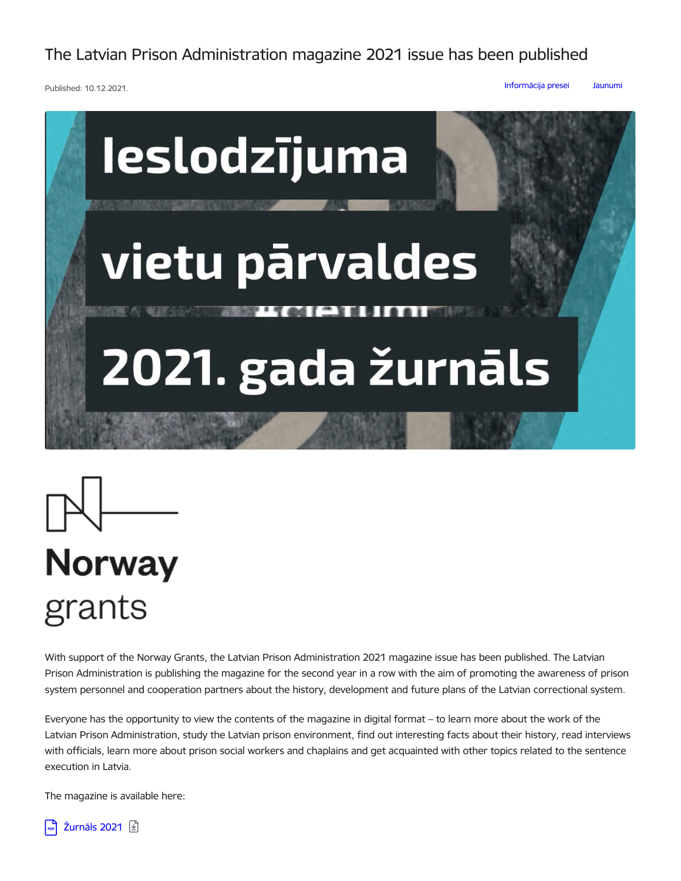The Latvian Prison Administration magazine 2021 issue has been published

Published: 10.12.2021.

[Informācija](https://www.ievp.gov.lv/en/articles?category%255B161%255D=161) presei [Jaunumi](https://www.ievp.gov.lv/en/articles?category%255B68%255D=68)





## **Norway** grants

With support of the Norway Grants, the Latvian Prison Administration 2021 magazine issue has been published. The Latvian Prison Administration is publishing the magazine for the second year in a row with the aim of promoting the awareness of prison system personnel and cooperation partners about the history, development and future plans of the Latvian correctional system.

Everyone has the opportunity to view the contents of the magazine in digital format – to learn more about the work of the Latvian Prison Administration, study the Latvian prison environment, find out interesting facts about their history, read interviews with officials, learn more about prison social workers and chaplains and get acquainted with other topics related to the sentence execution in Latvia.

The magazine is available here:

[Žurnāls](https://www.ievp.gov.lv/en/media/5074/download) 2021 **D**